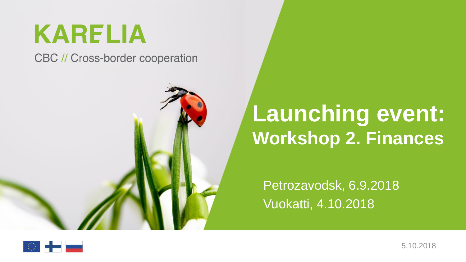## **KARELIA**

**CBC // Cross-border cooperation** 



#### **Launching event: Workshop 2. Finances**

Petrozavodsk, 6.9.2018 Vuokatti, 4.10.2018

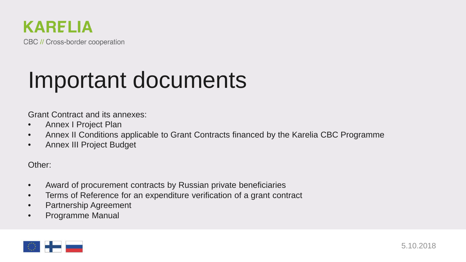

#### Important documents

Grant Contract and its annexes:

- Annex I Project Plan
- Annex II Conditions applicable to Grant Contracts financed by the Karelia CBC Programme
- Annex III Project Budget

Other:

- Award of procurement contracts by Russian private beneficiaries
- Terms of Reference for an expenditure verification of a grant contract
- Partnership Agreement
- Programme Manual

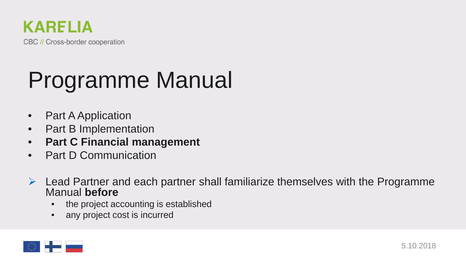

# Programme Manual

- Part A Application
- Part B Implementation
- **Part C Financial management**
- Part D Communication
- $\triangleright$  Lead Partner and each partner shall familiarize themselves with the Programme Manual **before**
	- the project accounting is established
	- any project cost is incurred

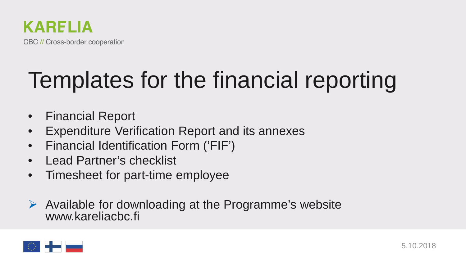

# Templates for the financial reporting

- Financial Report
- **Expenditure Verification Report and its annexes**
- Financial Identification Form ('FIF')
- Lead Partner's checklist
- Timesheet for part-time employee
- $\triangleright$  Available for downloading at the Programme's website www.kareliacbc.fi

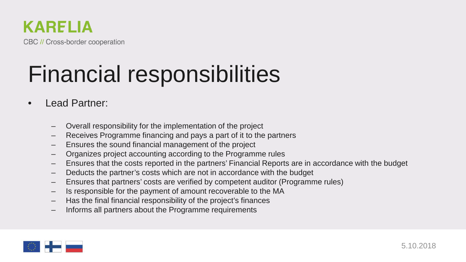

## Financial responsibilities

- Lead Partner:
	- Overall responsibility for the implementation of the project
	- Receives Programme financing and pays a part of it to the partners
	- Ensures the sound financial management of the project
	- Organizes project accounting according to the Programme rules
	- Ensures that the costs reported in the partners' Financial Reports are in accordance with the budget
	- Deducts the partner's costs which are not in accordance with the budget
	- Ensures that partners' costs are verified by competent auditor (Programme rules)
	- Is responsible for the payment of amount recoverable to the MA
	- Has the final financial responsibility of the project's finances
	- Informs all partners about the Programme requirements

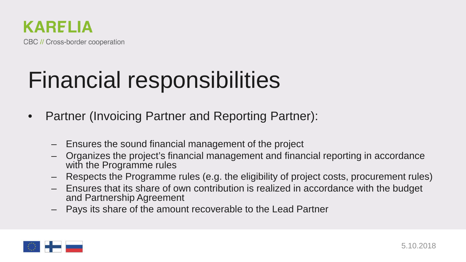

#### Financial responsibilities

- Partner (Invoicing Partner and Reporting Partner):
	- Ensures the sound financial management of the project
	- Organizes the project's financial management and financial reporting in accordance with the Programme rules
	- Respects the Programme rules (e.g. the eligibility of project costs, procurement rules)
	- Ensures that its share of own contribution is realized in accordance with the budget and Partnership Agreement
	- Pays its share of the amount recoverable to the Lead Partner

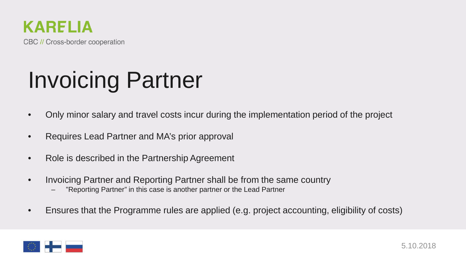

Invoicing Partner

- Only minor salary and travel costs incur during the implementation period of the project
- Requires Lead Partner and MA's prior approval
- Role is described in the Partnership Agreement
- Invoicing Partner and Reporting Partner shall be from the same country
	- "Reporting Partner" in this case is another partner or the Lead Partner
- Ensures that the Programme rules are applied (e.g. project accounting, eligibility of costs)

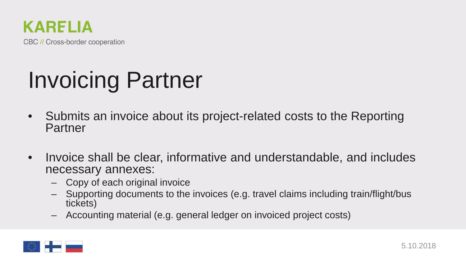

## Invoicing Partner

- Submits an invoice about its project-related costs to the Reporting Partner
- Invoice shall be clear, informative and understandable, and includes necessary annexes:
	- Copy of each original invoice
	- Supporting documents to the invoices (e.g. travel claims including train/flight/bus tickets)
	- Accounting material (e.g. general ledger on invoiced project costs)

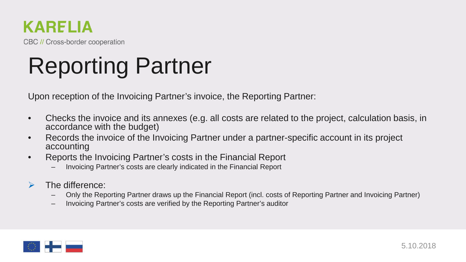#### **KARELIA**

CBC // Cross-border cooperation

# Reporting Partner

Upon reception of the Invoicing Partner's invoice, the Reporting Partner:

- Checks the invoice and its annexes (e.g. all costs are related to the project, calculation basis, in accordance with the budget)
- Records the invoice of the Invoicing Partner under a partner-specific account in its project accounting
- Reports the Invoicing Partner's costs in the Financial Report
	- Invoicing Partner's costs are clearly indicated in the Financial Report
- 
- ► The difference:<br>- Only the Reporting Partner draws up the Financial Report (incl. costs of Reporting Partner and Invoicing Partner)
	- Invoicing Partner's costs are verified by the Reporting Partner's auditor

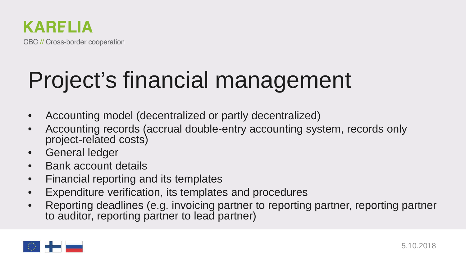## Project's financial management

- Accounting model (decentralized or partly decentralized)
- Accounting records (accrual double-entry accounting system, records only project-related costs)
- General ledger
- Bank account details
- Financial reporting and its templates
- Expenditure verification, its templates and procedures
- Reporting deadlines (e.g. invoicing partner to reporting partner, reporting partner to auditor, reporting partner to lead partner)

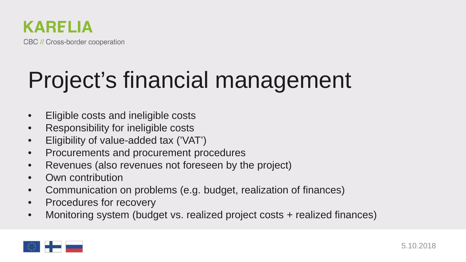

#### Project's financial management

- Eligible costs and ineligible costs
- Responsibility for ineligible costs
- Eligibility of value-added tax ('VAT')
- Procurements and procurement procedures
- Revenues (also revenues not foreseen by the project)
- Own contribution
- Communication on problems (e.g. budget, realization of finances)
- Procedures for recovery
- Monitoring system (budget vs. realized project costs + realized finances)

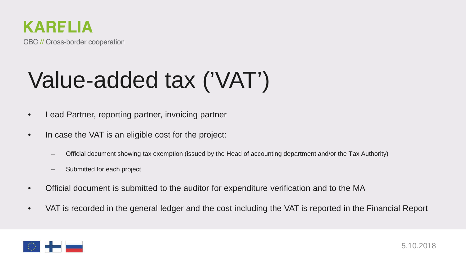

# Value-added tax ('VAT')

- Lead Partner, reporting partner, invoicing partner
- In case the VAT is an eligible cost for the project:
	- Official document showing tax exemption (issued by the Head of accounting department and/or the Tax Authority)
	- Submitted for each project
- Official document is submitted to the auditor for expenditure verification and to the MA
- VAT is recorded in the general ledger and the cost including the VAT is reported in the Financial Report

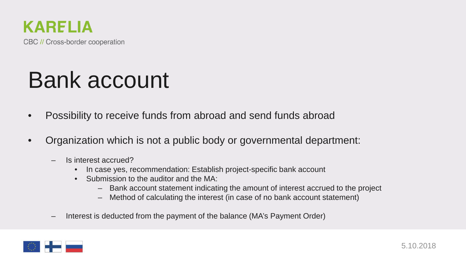

#### Bank account

- Possibility to receive funds from abroad and send funds abroad
- Organization which is not a public body or governmental department:
	- Is interest accrued?
		- In case yes, recommendation: Establish project-specific bank account
		- Submission to the auditor and the MA:
			- Bank account statement indicating the amount of interest accrued to the project
			- Method of calculating the interest (in case of no bank account statement)
	- Interest is deducted from the payment of the balance (MA's Payment Order)

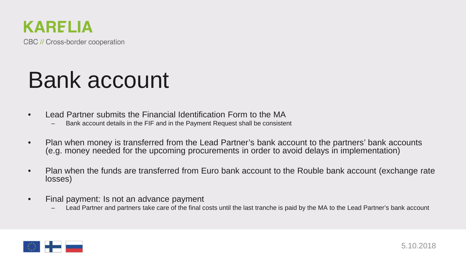

#### Bank account

- Lead Partner submits the Financial Identification Form to the MA<br>- Bank account details in the FIF and in the Payment Request shall be consistent
	-
- Plan when money is transferred from the Lead Partner's bank account to the partners' bank accounts (e.g. money needed for the upcoming procurements in order to avoid delays in implementation)
- Plan when the funds are transferred from Euro bank account to the Rouble bank account (exchange rate losses)
- Final payment: Is not an advance payment
	- Lead Partner and partners take care of the final costs until the last tranche is paid by the MA to the Lead Partner's bank account

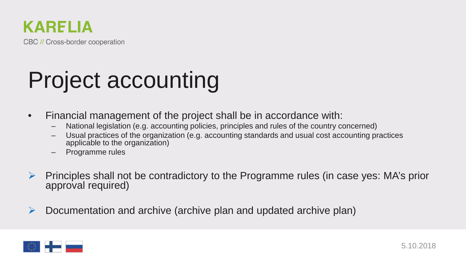

- Financial management of the project shall be in accordance with:
	- National legislation (e.g. accounting policies, principles and rules of the country concerned)
	- Usual practices of the organization (e.g. accounting standards and usual cost accounting practices applicable to the organization)
	- Programme rules
- Principles shall not be contradictory to the Programme rules (in case yes: MA's prior approval required)
- $\triangleright$  Documentation and archive (archive plan and updated archive plan)

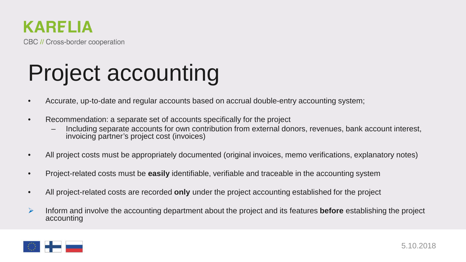

- Accurate, up-to-date and regular accounts based on accrual double-entry accounting system;
- Recommendation: a separate set of accounts specifically for the project
	- Including separate accounts for own contribution from external donors, revenues, bank account interest, invoicing partner's project cost (invoices)
- All project costs must be appropriately documented (original invoices, memo verifications, explanatory notes)
- Project-related costs must be **easily** identifiable, verifiable and traceable in the accounting system
- All project-related costs are recorded **only** under the project accounting established for the project
- Inform and involve the accounting department about the project and its features **before** establishing the project accounting

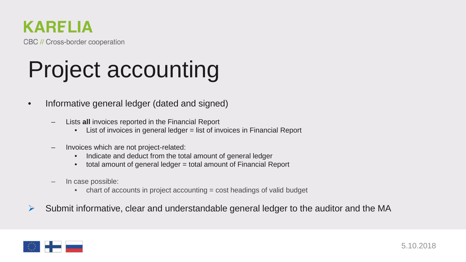#### **KARELIA**

CBC // Cross-border cooperation

- Informative general ledger (dated and signed)
	- Lists **all** invoices reported in the Financial Report
		- List of invoices in general ledger = list of invoices in Financial Report
	- Invoices which are not project-related:
		- Indicate and deduct from the total amount of general ledger
		- total amount of general ledger = total amount of Financial Report
	- In case possible:
		- chart of accounts in project accounting = cost headings of valid budget
- $\triangleright$  Submit informative, clear and understandable general ledger to the auditor and the MA

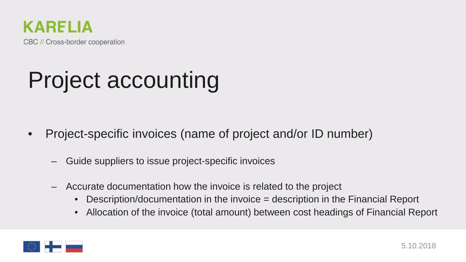

- Project-specific invoices (name of project and/or ID number)
	- Guide suppliers to issue project-specific invoices
	- Accurate documentation how the invoice is related to the project
		- Description/documentation in the invoice = description in the Financial Report
		- Allocation of the invoice (total amount) between cost headings of Financial Report

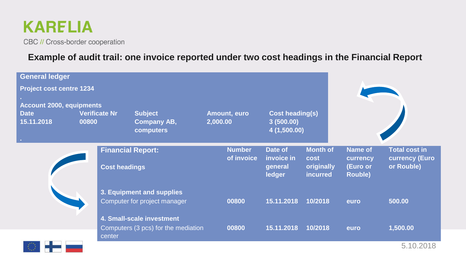

*Print* 

CBC // Cross-border cooperation

#### **Example of audit trail: one invoice reported under two cost headings in the Financial Report**

| <b>General ledger</b>                                 |                               |                                                                  |                             |                                                    |                                                   |                                                          |                                                             |
|-------------------------------------------------------|-------------------------------|------------------------------------------------------------------|-----------------------------|----------------------------------------------------|---------------------------------------------------|----------------------------------------------------------|-------------------------------------------------------------|
| <b>Project cost centre 1234</b>                       |                               |                                                                  |                             |                                                    |                                                   |                                                          |                                                             |
| <b>Account 2000, equipments</b>                       |                               |                                                                  |                             |                                                    |                                                   |                                                          |                                                             |
| <b>Date</b><br>15.11.2018<br>$\mathcal{L}_{\rm{eff}}$ | <b>Verificate Nr</b><br>00800 | <b>Subject</b><br><b>Company AB,</b><br>computers                | Amount, euro<br>2,000.00    | <b>Cost heading(s)</b><br>3(500.00)<br>4(1,500.00) |                                                   |                                                          |                                                             |
|                                                       | <b>Cost headings</b>          | <b>Financial Report:</b>                                         | <b>Number</b><br>of invoice | Date of<br>invoice in<br>general<br>ledger         | <b>Month of</b><br>cost<br>originally<br>incurred | <b>Name of</b><br>currency<br>(Euro or<br><b>Rouble)</b> | <b>Total cost in</b><br><b>currency (Euro</b><br>or Rouble) |
|                                                       |                               | 3. Equipment and supplies<br>Computer for project manager        | 00800                       | 15.11.2018                                         | 10/2018                                           | euro                                                     | 500.00                                                      |
|                                                       |                               | 4. Small-scale investment<br>Computers (3 pcs) for the mediation | 00800                       | 15.11.2018                                         | 10/2018                                           | euro                                                     | 1,500.00                                                    |
|                                                       | center                        |                                                                  |                             |                                                    |                                                   |                                                          | 5.10.2018                                                   |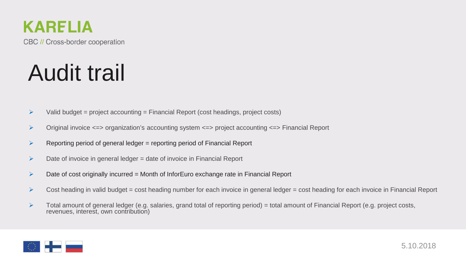

#### Audit trail

- $\triangleright$  Valid budget = project accounting = Financial Report (cost headings, project costs)
- Original invoice <=> organization's accounting system <=> project accounting <=> Financial Report
- $\triangleright$  Reporting period of general ledger = reporting period of Financial Report
- $\triangleright$  Date of invoice in general ledger = date of invoice in Financial Report
- $\triangleright$  Date of cost originally incurred = Month of InforEuro exchange rate in Financial Report
- $\triangleright$  Cost heading in valid budget = cost heading number for each invoice in general ledger = cost heading for each invoice in Financial Report
- $\triangleright$  Total amount of general ledger (e.g. salaries, grand total of reporting period) = total amount of Financial Report (e.g. project costs, revenues, interest, own contribution)

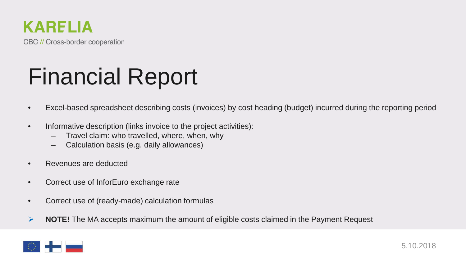

## Financial Report

- Excel-based spreadsheet describing costs (invoices) by cost heading (budget) incurred during the reporting period
- Informative description (links invoice to the project activities):
	- Travel claim: who travelled, where, when, why
	- Calculation basis (e.g. daily allowances)
- Revenues are deducted
- Correct use of InforEuro exchange rate
- Correct use of (ready-made) calculation formulas
- **NOTE!** The MA accepts maximum the amount of eligible costs claimed in the Payment Request

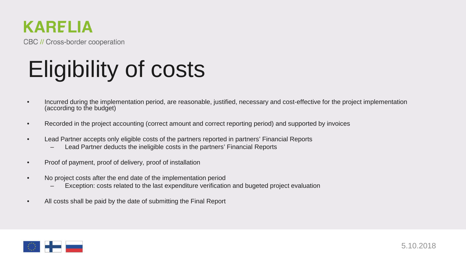

# Eligibility of costs

- Incurred during the implementation period, are reasonable, justified, necessary and cost-effective for the project implementation (according to the budget)
- Recorded in the project accounting (correct amount and correct reporting period) and supported by invoices
- Lead Partner accepts only eligible costs of the partners reported in partners' Financial Reports
	- Lead Partner deducts the ineligible costs in the partners' Financial Reports
- Proof of payment, proof of delivery, proof of installation
- No project costs after the end date of the implementation period
	- Exception: costs related to the last expenditure verification and bugeted project evaluation
- All costs shall be paid by the date of submitting the Final Report

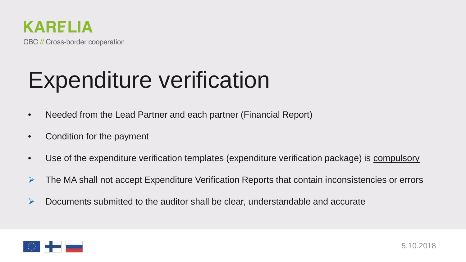

#### Expenditure verification

- Needed from the Lead Partner and each partner (Financial Report)
- Condition for the payment
- Use of the expenditure verification templates (expenditure verification package) is compulsory
- $\triangleright$  The MA shall not accept Expenditure Verification Reports that contain inconsistencies or errors
- $\triangleright$  Documents submitted to the auditor shall be clear, understandable and accurate

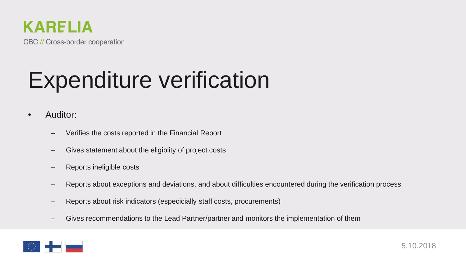

#### Expenditure verification

- Auditor:
	- Verifies the costs reported in the Financial Report
	- Gives statement about the eligiblity of project costs
	- Reports ineligible costs
	- Reports about exceptions and deviations, and about difficulties encountered during the verification process
	- Reports about risk indicators (especicially staff costs, procurements)
	- Gives recommendations to the Lead Partner/partner and monitors the implementation of them

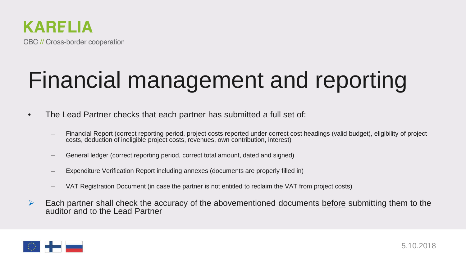

# Financial management and reporting

- The Lead Partner checks that each partner has submitted a full set of:
	- Financial Report (correct reporting period, project costs reported under correct cost headings (valid budget), eligibility of project costs, deduction of ineligible project costs, revenues, own contribution, interest)
	- General ledger (correct reporting period, correct total amount, dated and signed)
	- Expenditure Verification Report including annexes (documents are properly filled in)
	- VAT Registration Document (in case the partner is not entitled to reclaim the VAT from project costs)
- $\triangleright$  Each partner shall check the accuracy of the abovementioned documents before submitting them to the auditor and to the Lead Partner

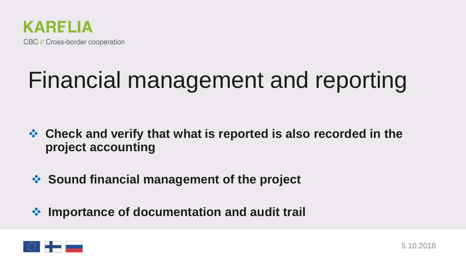

#### Financial management and reporting

- **Check and verify that what is reported is also recorded in the project accounting**
- **Sound financial management of the project**
- **Importance of documentation and audit trail**